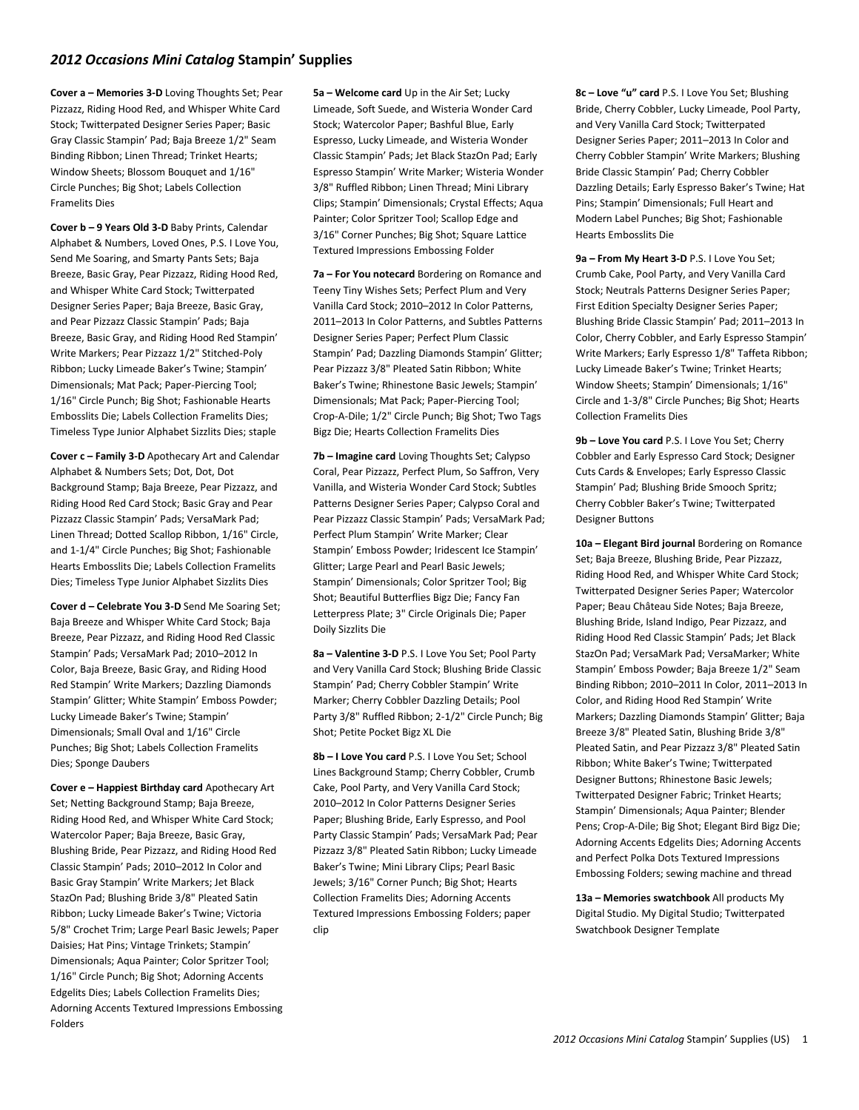## *2012 Occasions Mini Catalog* **Stampin' Supplies**

**Cover a – Memories 3-D** Loving Thoughts Set; Pear Pizzazz, Riding Hood Red, and Whisper White Card Stock; Twitterpated Designer Series Paper; Basic Gray Classic Stampin' Pad; Baja Breeze 1/2" Seam Binding Ribbon; Linen Thread; Trinket Hearts; Window Sheets; Blossom Bouquet and 1/16" Circle Punches; Big Shot; Labels Collection Framelits Dies

**Cover b – 9 Years Old 3-D** Baby Prints, Calendar Alphabet & Numbers, Loved Ones, P.S. I Love You, Send Me Soaring, and Smarty Pants Sets; Baja Breeze, Basic Gray, Pear Pizzazz, Riding Hood Red, and Whisper White Card Stock; Twitterpated Designer Series Paper; Baja Breeze, Basic Gray, and Pear Pizzazz Classic Stampin' Pads; Baja Breeze, Basic Gray, and Riding Hood Red Stampin' Write Markers; Pear Pizzazz 1/2" Stitched-Poly Ribbon; Lucky Limeade Baker's Twine; Stampin' Dimensionals; Mat Pack; Paper-Piercing Tool; 1/16" Circle Punch; Big Shot; Fashionable Hearts Embosslits Die; Labels Collection Framelits Dies; Timeless Type Junior Alphabet Sizzlits Dies; staple

**Cover c – Family 3-D** Apothecary Art and Calendar Alphabet & Numbers Sets; Dot, Dot, Dot Background Stamp; Baja Breeze, Pear Pizzazz, and Riding Hood Red Card Stock; Basic Gray and Pear Pizzazz Classic Stampin' Pads; VersaMark Pad; Linen Thread; Dotted Scallop Ribbon, 1/16" Circle, and 1-1/4" Circle Punches; Big Shot; Fashionable Hearts Embosslits Die; Labels Collection Framelits Dies; Timeless Type Junior Alphabet Sizzlits Dies

**Cover d – Celebrate You 3-D** Send Me Soaring Set; Baja Breeze and Whisper White Card Stock; Baja Breeze, Pear Pizzazz, and Riding Hood Red Classic Stampin' Pads; VersaMark Pad; 2010–2012 In Color, Baja Breeze, Basic Gray, and Riding Hood Red Stampin' Write Markers; Dazzling Diamonds Stampin' Glitter; White Stampin' Emboss Powder; Lucky Limeade Baker's Twine; Stampin' Dimensionals; Small Oval and 1/16" Circle Punches; Big Shot; Labels Collection Framelits Dies; Sponge Daubers

**Cover e – Happiest Birthday card** Apothecary Art Set; Netting Background Stamp; Baja Breeze, Riding Hood Red, and Whisper White Card Stock; Watercolor Paper; Baja Breeze, Basic Gray, Blushing Bride, Pear Pizzazz, and Riding Hood Red Classic Stampin' Pads; 2010–2012 In Color and Basic Gray Stampin' Write Markers; Jet Black StazOn Pad; Blushing Bride 3/8" Pleated Satin Ribbon; Lucky Limeade Baker's Twine; Victoria 5/8" Crochet Trim; Large Pearl Basic Jewels; Paper Daisies; Hat Pins; Vintage Trinkets; Stampin' Dimensionals; Aqua Painter; Color Spritzer Tool; 1/16" Circle Punch; Big Shot; Adorning Accents Edgelits Dies; Labels Collection Framelits Dies; Adorning Accents Textured Impressions Embossing Folders

**5a – Welcome card** Up in the Air Set; Lucky Limeade, Soft Suede, and Wisteria Wonder Card Stock; Watercolor Paper; Bashful Blue, Early Espresso, Lucky Limeade, and Wisteria Wonder Classic Stampin' Pads; Jet Black StazOn Pad; Early Espresso Stampin' Write Marker; Wisteria Wonder 3/8" Ruffled Ribbon; Linen Thread; Mini Library Clips; Stampin' Dimensionals; Crystal Effects; Aqua Painter; Color Spritzer Tool; Scallop Edge and 3/16" Corner Punches; Big Shot; Square Lattice Textured Impressions Embossing Folder

**7a – For You notecard** Bordering on Romance and Teeny Tiny Wishes Sets; Perfect Plum and Very Vanilla Card Stock; 2010–2012 In Color Patterns, 2011–2013 In Color Patterns, and Subtles Patterns Designer Series Paper; Perfect Plum Classic Stampin' Pad; Dazzling Diamonds Stampin' Glitter; Pear Pizzazz 3/8" Pleated Satin Ribbon; White Baker's Twine; Rhinestone Basic Jewels; Stampin' Dimensionals; Mat Pack; Paper-Piercing Tool; Crop-A-Dile; 1/2" Circle Punch; Big Shot; Two Tags Bigz Die; Hearts Collection Framelits Dies

**7b – Imagine card** Loving Thoughts Set; Calypso Coral, Pear Pizzazz, Perfect Plum, So Saffron, Very Vanilla, and Wisteria Wonder Card Stock; Subtles Patterns Designer Series Paper; Calypso Coral and Pear Pizzazz Classic Stampin' Pads; VersaMark Pad; Perfect Plum Stampin' Write Marker; Clear Stampin' Emboss Powder; Iridescent Ice Stampin' Glitter; Large Pearl and Pearl Basic Jewels; Stampin' Dimensionals; Color Spritzer Tool; Big Shot; Beautiful Butterflies Bigz Die; Fancy Fan Letterpress Plate; 3" Circle Originals Die; Paper Doily Sizzlits Die

**8a – Valentine 3-D** P.S. I Love You Set; Pool Party and Very Vanilla Card Stock; Blushing Bride Classic Stampin' Pad; Cherry Cobbler Stampin' Write Marker; Cherry Cobbler Dazzling Details; Pool Party 3/8" Ruffled Ribbon; 2-1/2" Circle Punch; Big Shot; Petite Pocket Bigz XL Die

**8b – I Love You card** P.S. I Love You Set; School Lines Background Stamp; Cherry Cobbler, Crumb Cake, Pool Party, and Very Vanilla Card Stock; 2010–2012 In Color Patterns Designer Series Paper; Blushing Bride, Early Espresso, and Pool Party Classic Stampin' Pads; VersaMark Pad; Pear Pizzazz 3/8" Pleated Satin Ribbon; Lucky Limeade Baker's Twine; Mini Library Clips; Pearl Basic Jewels; 3/16" Corner Punch; Big Shot; Hearts Collection Framelits Dies; Adorning Accents Textured Impressions Embossing Folders; paper clip

**8c – Love "u" card** P.S. I Love You Set; Blushing Bride, Cherry Cobbler, Lucky Limeade, Pool Party, and Very Vanilla Card Stock; Twitterpated Designer Series Paper; 2011–2013 In Color and Cherry Cobbler Stampin' Write Markers; Blushing Bride Classic Stampin' Pad; Cherry Cobbler Dazzling Details; Early Espresso Baker's Twine; Hat Pins; Stampin' Dimensionals; Full Heart and Modern Label Punches; Big Shot; Fashionable Hearts Embosslits Die

**9a – From My Heart 3-D** P.S. I Love You Set; Crumb Cake, Pool Party, and Very Vanilla Card Stock; Neutrals Patterns Designer Series Paper; First Edition Specialty Designer Series Paper; Blushing Bride Classic Stampin' Pad; 2011–2013 In Color, Cherry Cobbler, and Early Espresso Stampin' Write Markers; Early Espresso 1/8" Taffeta Ribbon; Lucky Limeade Baker's Twine; Trinket Hearts; Window Sheets; Stampin' Dimensionals; 1/16" Circle and 1-3/8" Circle Punches; Big Shot; Hearts Collection Framelits Dies

**9b – Love You card** P.S. I Love You Set; Cherry Cobbler and Early Espresso Card Stock; Designer Cuts Cards & Envelopes; Early Espresso Classic Stampin' Pad; Blushing Bride Smooch Spritz; Cherry Cobbler Baker's Twine; Twitterpated Designer Buttons

**10a – Elegant Bird journal** Bordering on Romance Set; Baja Breeze, Blushing Bride, Pear Pizzazz, Riding Hood Red, and Whisper White Card Stock; Twitterpated Designer Series Paper; Watercolor Paper; Beau Château Side Notes; Baja Breeze, Blushing Bride, Island Indigo, Pear Pizzazz, and Riding Hood Red Classic Stampin' Pads; Jet Black StazOn Pad; VersaMark Pad; VersaMarker; White Stampin' Emboss Powder; Baja Breeze 1/2" Seam Binding Ribbon; 2010–2011 In Color, 2011–2013 In Color, and Riding Hood Red Stampin' Write Markers; Dazzling Diamonds Stampin' Glitter; Baja Breeze 3/8" Pleated Satin, Blushing Bride 3/8" Pleated Satin, and Pear Pizzazz 3/8" Pleated Satin Ribbon; White Baker's Twine; Twitterpated Designer Buttons; Rhinestone Basic Jewels; Twitterpated Designer Fabric; Trinket Hearts; Stampin' Dimensionals; Aqua Painter; Blender Pens; Crop-A-Dile; Big Shot; Elegant Bird Bigz Die; Adorning Accents Edgelits Dies; Adorning Accents and Perfect Polka Dots Textured Impressions Embossing Folders; sewing machine and thread

**13a – Memories swatchbook** All products My Digital Studio. My Digital Studio; Twitterpated Swatchbook Designer Template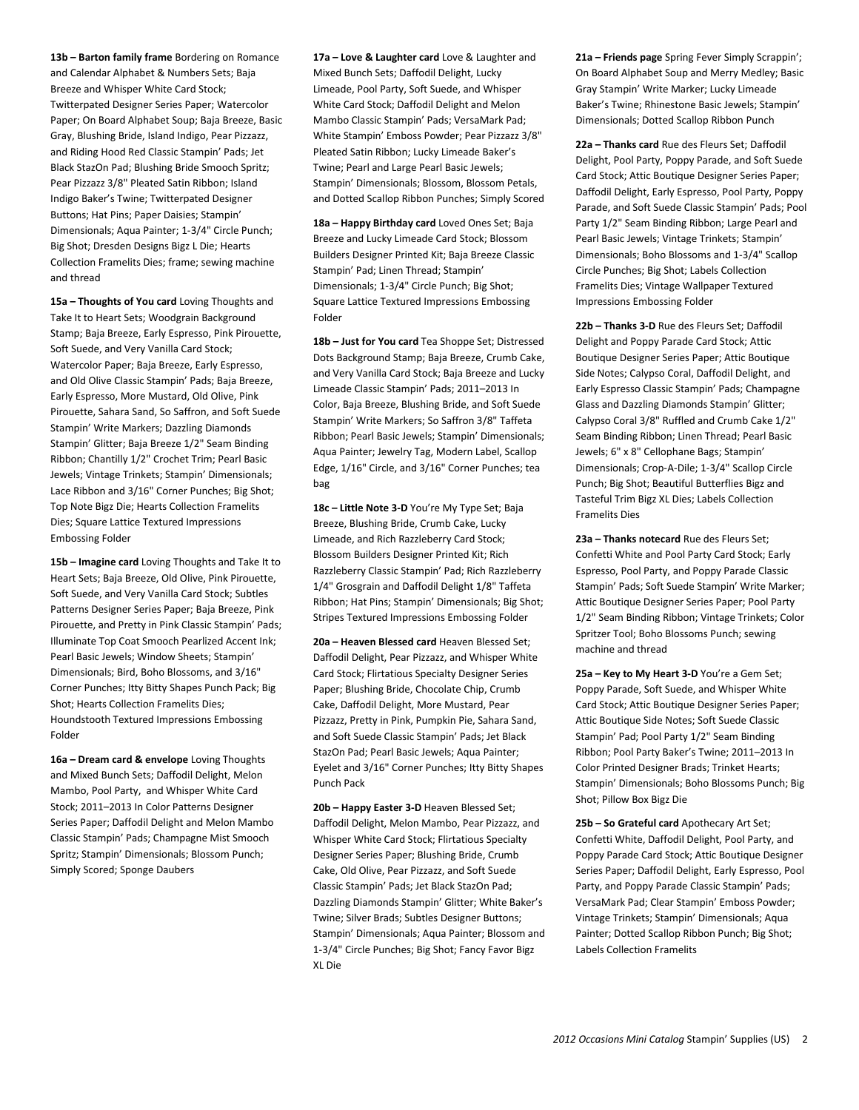**13b – Barton family frame** Bordering on Romance and Calendar Alphabet & Numbers Sets; Baja Breeze and Whisper White Card Stock; Twitterpated Designer Series Paper; Watercolor Paper; On Board Alphabet Soup; Baja Breeze, Basic Gray, Blushing Bride, Island Indigo, Pear Pizzazz, and Riding Hood Red Classic Stampin' Pads; Jet Black StazOn Pad; Blushing Bride Smooch Spritz; Pear Pizzazz 3/8" Pleated Satin Ribbon; Island Indigo Baker's Twine; Twitterpated Designer Buttons; Hat Pins; Paper Daisies; Stampin' Dimensionals; Aqua Painter; 1-3/4" Circle Punch; Big Shot; Dresden Designs Bigz L Die; Hearts Collection Framelits Dies; frame; sewing machine and thread

**15a – Thoughts of You card** Loving Thoughts and Take It to Heart Sets; Woodgrain Background Stamp; Baja Breeze, Early Espresso, Pink Pirouette, Soft Suede, and Very Vanilla Card Stock; Watercolor Paper; Baja Breeze, Early Espresso, and Old Olive Classic Stampin' Pads; Baja Breeze, Early Espresso, More Mustard, Old Olive, Pink Pirouette, Sahara Sand, So Saffron, and Soft Suede Stampin' Write Markers; Dazzling Diamonds Stampin' Glitter; Baja Breeze 1/2" Seam Binding Ribbon; Chantilly 1/2" Crochet Trim; Pearl Basic Jewels; Vintage Trinkets; Stampin' Dimensionals; Lace Ribbon and 3/16" Corner Punches; Big Shot; Top Note Bigz Die; Hearts Collection Framelits Dies; Square Lattice Textured Impressions Embossing Folder

**15b – Imagine card** Loving Thoughts and Take It to Heart Sets; Baja Breeze, Old Olive, Pink Pirouette, Soft Suede, and Very Vanilla Card Stock; Subtles Patterns Designer Series Paper; Baja Breeze, Pink Pirouette, and Pretty in Pink Classic Stampin' Pads; Illuminate Top Coat Smooch Pearlized Accent Ink; Pearl Basic Jewels; Window Sheets; Stampin' Dimensionals; Bird, Boho Blossoms, and 3/16" Corner Punches; Itty Bitty Shapes Punch Pack; Big Shot; Hearts Collection Framelits Dies; Houndstooth Textured Impressions Embossing Folder

**16a – Dream card & envelope** Loving Thoughts and Mixed Bunch Sets; Daffodil Delight, Melon Mambo, Pool Party, and Whisper White Card Stock; 2011–2013 In Color Patterns Designer Series Paper; Daffodil Delight and Melon Mambo Classic Stampin' Pads; Champagne Mist Smooch Spritz; Stampin' Dimensionals; Blossom Punch; Simply Scored; Sponge Daubers

**17a – Love & Laughter card** Love & Laughter and Mixed Bunch Sets; Daffodil Delight, Lucky Limeade, Pool Party, Soft Suede, and Whisper White Card Stock; Daffodil Delight and Melon Mambo Classic Stampin' Pads; VersaMark Pad; White Stampin' Emboss Powder; Pear Pizzazz 3/8" Pleated Satin Ribbon; Lucky Limeade Baker's Twine; Pearl and Large Pearl Basic Jewels; Stampin' Dimensionals; Blossom, Blossom Petals, and Dotted Scallop Ribbon Punches; Simply Scored

**18a – Happy Birthday card** Loved Ones Set; Baja Breeze and Lucky Limeade Card Stock; Blossom Builders Designer Printed Kit; Baja Breeze Classic Stampin' Pad; Linen Thread; Stampin' Dimensionals; 1-3/4" Circle Punch; Big Shot; Square Lattice Textured Impressions Embossing Folder

**18b – Just for You card** Tea Shoppe Set; Distressed Dots Background Stamp; Baja Breeze, Crumb Cake, and Very Vanilla Card Stock; Baja Breeze and Lucky Limeade Classic Stampin' Pads; 2011–2013 In Color, Baja Breeze, Blushing Bride, and Soft Suede Stampin' Write Markers; So Saffron 3/8" Taffeta Ribbon; Pearl Basic Jewels; Stampin' Dimensionals; Aqua Painter; Jewelry Tag, Modern Label, Scallop Edge, 1/16" Circle, and 3/16" Corner Punches; tea bag

**18c – Little Note 3-D** You're My Type Set; Baja Breeze, Blushing Bride, Crumb Cake, Lucky Limeade, and Rich Razzleberry Card Stock; Blossom Builders Designer Printed Kit; Rich Razzleberry Classic Stampin' Pad; Rich Razzleberry 1/4" Grosgrain and Daffodil Delight 1/8" Taffeta Ribbon; Hat Pins; Stampin' Dimensionals; Big Shot; Stripes Textured Impressions Embossing Folder

**20a – Heaven Blessed card** Heaven Blessed Set; Daffodil Delight, Pear Pizzazz, and Whisper White Card Stock; Flirtatious Specialty Designer Series Paper; Blushing Bride, Chocolate Chip, Crumb Cake, Daffodil Delight, More Mustard, Pear Pizzazz, Pretty in Pink, Pumpkin Pie, Sahara Sand, and Soft Suede Classic Stampin' Pads; Jet Black StazOn Pad; Pearl Basic Jewels; Aqua Painter; Eyelet and 3/16" Corner Punches; Itty Bitty Shapes Punch Pack

**20b – Happy Easter 3-D** Heaven Blessed Set; Daffodil Delight, Melon Mambo, Pear Pizzazz, and Whisper White Card Stock; Flirtatious Specialty Designer Series Paper; Blushing Bride, Crumb Cake, Old Olive, Pear Pizzazz, and Soft Suede Classic Stampin' Pads; Jet Black StazOn Pad; Dazzling Diamonds Stampin' Glitter; White Baker's Twine; Silver Brads; Subtles Designer Buttons; Stampin' Dimensionals; Aqua Painter; Blossom and 1-3/4" Circle Punches; Big Shot; Fancy Favor Bigz XL Die

**21a – Friends page** Spring Fever Simply Scrappin'; On Board Alphabet Soup and Merry Medley; Basic Gray Stampin' Write Marker; Lucky Limeade Baker's Twine; Rhinestone Basic Jewels; Stampin' Dimensionals; Dotted Scallop Ribbon Punch

**22a – Thanks card** Rue des Fleurs Set; Daffodil Delight, Pool Party, Poppy Parade, and Soft Suede Card Stock; Attic Boutique Designer Series Paper; Daffodil Delight, Early Espresso, Pool Party, Poppy Parade, and Soft Suede Classic Stampin' Pads; Pool Party 1/2" Seam Binding Ribbon; Large Pearl and Pearl Basic Jewels; Vintage Trinkets; Stampin' Dimensionals; Boho Blossoms and 1-3/4" Scallop Circle Punches; Big Shot; Labels Collection Framelits Dies; Vintage Wallpaper Textured Impressions Embossing Folder

**22b – Thanks 3-D** Rue des Fleurs Set; Daffodil Delight and Poppy Parade Card Stock; Attic Boutique Designer Series Paper; Attic Boutique Side Notes; Calypso Coral, Daffodil Delight, and Early Espresso Classic Stampin' Pads; Champagne Glass and Dazzling Diamonds Stampin' Glitter; Calypso Coral 3/8" Ruffled and Crumb Cake 1/2" Seam Binding Ribbon; Linen Thread; Pearl Basic Jewels; 6" x 8" Cellophane Bags; Stampin' Dimensionals; Crop-A-Dile; 1-3/4" Scallop Circle Punch; Big Shot; Beautiful Butterflies Bigz and Tasteful Trim Bigz XL Dies; Labels Collection Framelits Dies

**23a – Thanks notecard** Rue des Fleurs Set; Confetti White and Pool Party Card Stock; Early Espresso, Pool Party, and Poppy Parade Classic Stampin' Pads; Soft Suede Stampin' Write Marker; Attic Boutique Designer Series Paper; Pool Party 1/2" Seam Binding Ribbon; Vintage Trinkets; Color Spritzer Tool; Boho Blossoms Punch; sewing machine and thread

**25a – Key to My Heart 3-D** You're a Gem Set; Poppy Parade, Soft Suede, and Whisper White Card Stock; Attic Boutique Designer Series Paper; Attic Boutique Side Notes; Soft Suede Classic Stampin' Pad; Pool Party 1/2" Seam Binding Ribbon; Pool Party Baker's Twine; 2011–2013 In Color Printed Designer Brads; Trinket Hearts; Stampin' Dimensionals; Boho Blossoms Punch; Big Shot; Pillow Box Bigz Die

**25b – So Grateful card** Apothecary Art Set; Confetti White, Daffodil Delight, Pool Party, and Poppy Parade Card Stock; Attic Boutique Designer Series Paper; Daffodil Delight, Early Espresso, Pool Party, and Poppy Parade Classic Stampin' Pads; VersaMark Pad; Clear Stampin' Emboss Powder; Vintage Trinkets; Stampin' Dimensionals; Aqua Painter; Dotted Scallop Ribbon Punch; Big Shot; Labels Collection Framelits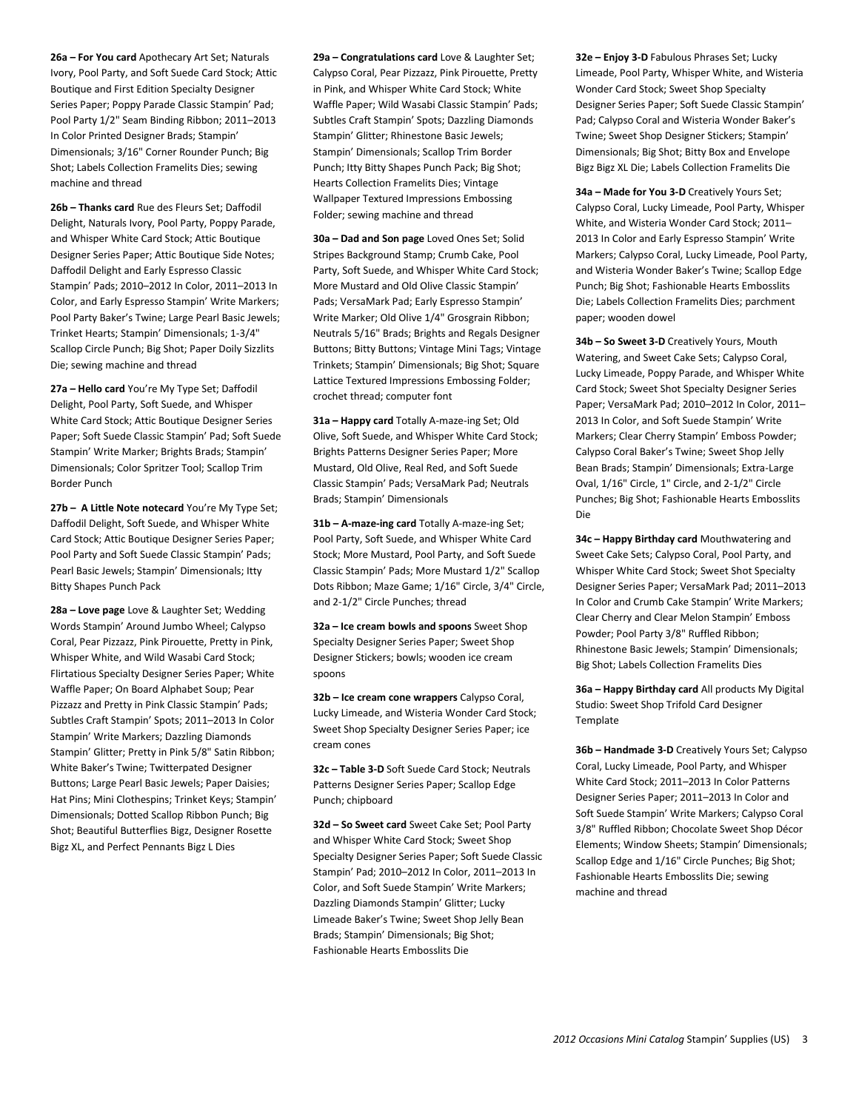**26a – For You card** Apothecary Art Set; Naturals Ivory, Pool Party, and Soft Suede Card Stock; Attic Boutique and First Edition Specialty Designer Series Paper; Poppy Parade Classic Stampin' Pad; Pool Party 1/2" Seam Binding Ribbon; 2011–2013 In Color Printed Designer Brads; Stampin' Dimensionals; 3/16" Corner Rounder Punch; Big Shot; Labels Collection Framelits Dies; sewing machine and thread

**26b – Thanks card** Rue des Fleurs Set; Daffodil Delight, Naturals Ivory, Pool Party, Poppy Parade, and Whisper White Card Stock; Attic Boutique Designer Series Paper; Attic Boutique Side Notes; Daffodil Delight and Early Espresso Classic Stampin' Pads; 2010–2012 In Color, 2011–2013 In Color, and Early Espresso Stampin' Write Markers; Pool Party Baker's Twine; Large Pearl Basic Jewels; Trinket Hearts; Stampin' Dimensionals; 1-3/4" Scallop Circle Punch; Big Shot; Paper Doily Sizzlits Die; sewing machine and thread

**27a – Hello card** You're My Type Set; Daffodil Delight, Pool Party, Soft Suede, and Whisper White Card Stock; Attic Boutique Designer Series Paper; Soft Suede Classic Stampin' Pad; Soft Suede Stampin' Write Marker; Brights Brads; Stampin' Dimensionals; Color Spritzer Tool; Scallop Trim Border Punch

**27b – A Little Note notecard** You're My Type Set; Daffodil Delight, Soft Suede, and Whisper White Card Stock; Attic Boutique Designer Series Paper; Pool Party and Soft Suede Classic Stampin' Pads; Pearl Basic Jewels; Stampin' Dimensionals; Itty Bitty Shapes Punch Pack

**28a – Love page** Love & Laughter Set; Wedding Words Stampin' Around Jumbo Wheel; Calypso Coral, Pear Pizzazz, Pink Pirouette, Pretty in Pink, Whisper White, and Wild Wasabi Card Stock; Flirtatious Specialty Designer Series Paper; White Waffle Paper; On Board Alphabet Soup; Pear Pizzazz and Pretty in Pink Classic Stampin' Pads; Subtles Craft Stampin' Spots; 2011–2013 In Color Stampin' Write Markers; Dazzling Diamonds Stampin' Glitter; Pretty in Pink 5/8" Satin Ribbon; White Baker's Twine; Twitterpated Designer Buttons; Large Pearl Basic Jewels; Paper Daisies; Hat Pins; Mini Clothespins; Trinket Keys; Stampin' Dimensionals; Dotted Scallop Ribbon Punch; Big Shot; Beautiful Butterflies Bigz, Designer Rosette Bigz XL, and Perfect Pennants Bigz L Dies

**29a – Congratulations card** Love & Laughter Set; Calypso Coral, Pear Pizzazz, Pink Pirouette, Pretty in Pink, and Whisper White Card Stock; White Waffle Paper; Wild Wasabi Classic Stampin' Pads; Subtles Craft Stampin' Spots; Dazzling Diamonds Stampin' Glitter; Rhinestone Basic Jewels; Stampin' Dimensionals; Scallop Trim Border Punch; Itty Bitty Shapes Punch Pack; Big Shot; Hearts Collection Framelits Dies; Vintage Wallpaper Textured Impressions Embossing Folder; sewing machine and thread

**30a – Dad and Son page** Loved Ones Set; Solid Stripes Background Stamp; Crumb Cake, Pool Party, Soft Suede, and Whisper White Card Stock; More Mustard and Old Olive Classic Stampin' Pads; VersaMark Pad; Early Espresso Stampin' Write Marker; Old Olive 1/4" Grosgrain Ribbon; Neutrals 5/16" Brads; Brights and Regals Designer Buttons; Bitty Buttons; Vintage Mini Tags; Vintage Trinkets; Stampin' Dimensionals; Big Shot; Square Lattice Textured Impressions Embossing Folder; crochet thread; computer font

**31a – Happy card** Totally A-maze-ing Set; Old Olive, Soft Suede, and Whisper White Card Stock; Brights Patterns Designer Series Paper; More Mustard, Old Olive, Real Red, and Soft Suede Classic Stampin' Pads; VersaMark Pad; Neutrals Brads; Stampin' Dimensionals

**31b – A-maze-ing card** Totally A-maze-ing Set; Pool Party, Soft Suede, and Whisper White Card Stock; More Mustard, Pool Party, and Soft Suede Classic Stampin' Pads; More Mustard 1/2" Scallop Dots Ribbon; Maze Game; 1/16" Circle, 3/4" Circle, and 2-1/2" Circle Punches; thread

**32a – Ice cream bowls and spoons** Sweet Shop Specialty Designer Series Paper; Sweet Shop Designer Stickers; bowls; wooden ice cream spoons

**32b – Ice cream cone wrappers** Calypso Coral, Lucky Limeade, and Wisteria Wonder Card Stock; Sweet Shop Specialty Designer Series Paper; ice cream cones

**32c – Table 3-D** Soft Suede Card Stock; Neutrals Patterns Designer Series Paper; Scallop Edge Punch; chipboard

**32d – So Sweet card** Sweet Cake Set; Pool Party and Whisper White Card Stock; Sweet Shop Specialty Designer Series Paper; Soft Suede Classic Stampin' Pad; 2010–2012 In Color, 2011–2013 In Color, and Soft Suede Stampin' Write Markers; Dazzling Diamonds Stampin' Glitter; Lucky Limeade Baker's Twine; Sweet Shop Jelly Bean Brads; Stampin' Dimensionals; Big Shot; Fashionable Hearts Embosslits Die

**32e – Enjoy 3-D** Fabulous Phrases Set; Lucky Limeade, Pool Party, Whisper White, and Wisteria Wonder Card Stock; Sweet Shop Specialty Designer Series Paper; Soft Suede Classic Stampin' Pad; Calypso Coral and Wisteria Wonder Baker's Twine; Sweet Shop Designer Stickers; Stampin' Dimensionals; Big Shot; Bitty Box and Envelope Bigz Bigz XL Die; Labels Collection Framelits Die

**34a – Made for You 3-D** Creatively Yours Set; Calypso Coral, Lucky Limeade, Pool Party, Whisper White, and Wisteria Wonder Card Stock; 2011– 2013 In Color and Early Espresso Stampin' Write Markers; Calypso Coral, Lucky Limeade, Pool Party, and Wisteria Wonder Baker's Twine; Scallop Edge Punch; Big Shot; Fashionable Hearts Embosslits Die; Labels Collection Framelits Dies; parchment paper; wooden dowel

**34b – So Sweet 3-D** Creatively Yours, Mouth Watering, and Sweet Cake Sets; Calypso Coral, Lucky Limeade, Poppy Parade, and Whisper White Card Stock; Sweet Shot Specialty Designer Series Paper; VersaMark Pad; 2010–2012 In Color, 2011– 2013 In Color, and Soft Suede Stampin' Write Markers; Clear Cherry Stampin' Emboss Powder; Calypso Coral Baker's Twine; Sweet Shop Jelly Bean Brads; Stampin' Dimensionals; Extra-Large Oval, 1/16" Circle, 1" Circle, and 2-1/2" Circle Punches; Big Shot; Fashionable Hearts Embosslits Die

**34c – Happy Birthday card** Mouthwatering and Sweet Cake Sets; Calypso Coral, Pool Party, and Whisper White Card Stock; Sweet Shot Specialty Designer Series Paper; VersaMark Pad; 2011–2013 In Color and Crumb Cake Stampin' Write Markers; Clear Cherry and Clear Melon Stampin' Emboss Powder; Pool Party 3/8" Ruffled Ribbon; Rhinestone Basic Jewels; Stampin' Dimensionals; Big Shot; Labels Collection Framelits Dies

**36a – Happy Birthday card** All products My Digital Studio: Sweet Shop Trifold Card Designer **Template** 

**36b – Handmade 3-D** Creatively Yours Set; Calypso Coral, Lucky Limeade, Pool Party, and Whisper White Card Stock; 2011–2013 In Color Patterns Designer Series Paper; 2011–2013 In Color and Soft Suede Stampin' Write Markers; Calypso Coral 3/8" Ruffled Ribbon; Chocolate Sweet Shop Décor Elements; Window Sheets; Stampin' Dimensionals; Scallop Edge and 1/16" Circle Punches; Big Shot; Fashionable Hearts Embosslits Die; sewing machine and thread